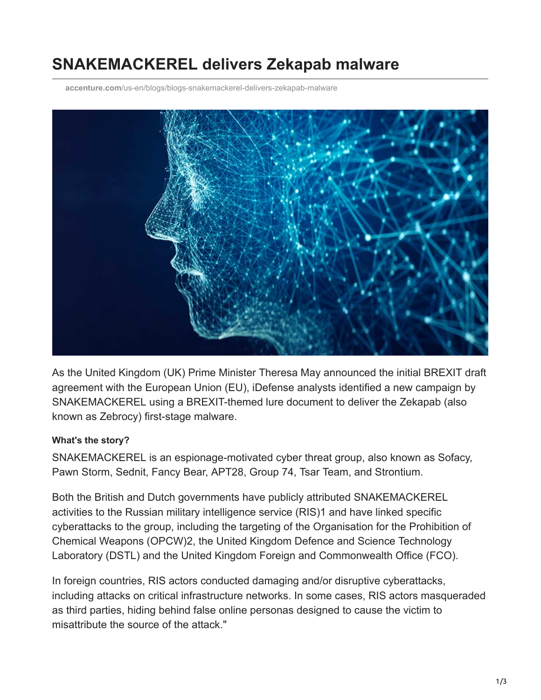# **SNAKEMACKEREL delivers Zekapab malware**

**accenture.com**[/us-en/blogs/blogs-snakemackerel-delivers-zekapab-malware](https://www.accenture.com/us-en/blogs/blogs-snakemackerel-delivers-zekapab-malware)



As the United Kingdom (UK) Prime Minister Theresa May announced the initial BREXIT draft agreement with the European Union (EU), iDefense analysts identified a new campaign by SNAKEMACKEREL using a BREXIT-themed lure document to deliver the Zekapab (also known as Zebrocy) first-stage malware.

#### **What's the story?**

SNAKEMACKEREL is an espionage-motivated cyber threat group, also known as Sofacy, Pawn Storm, Sednit, Fancy Bear, APT28, Group 74, Tsar Team, and Strontium.

Both the British and Dutch governments have publicly attributed SNAKEMACKEREL activities to the Russian military intelligence service (RIS)1 and have linked specific cyberattacks to the group, including the targeting of the Organisation for the Prohibition of Chemical Weapons (OPCW)2, the United Kingdom Defence and Science Technology Laboratory (DSTL) and the United Kingdom Foreign and Commonwealth Office (FCO).

In foreign countries, RIS actors conducted damaging and/or disruptive cyberattacks, including attacks on critical infrastructure networks. In some cases, RIS actors masqueraded as third parties, hiding behind false online personas designed to cause the victim to misattribute the source of the attack."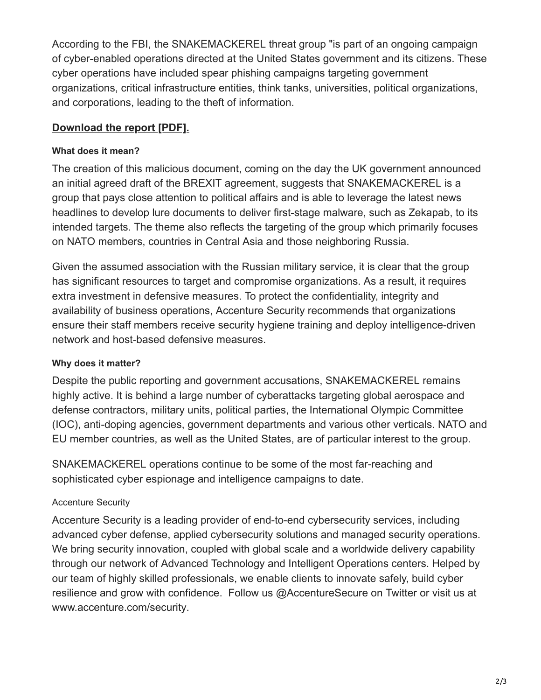According to the FBI, the SNAKEMACKEREL threat group "is part of an ongoing campaign of cyber-enabled operations directed at the United States government and its citizens. These cyber operations have included spear phishing campaigns targeting government organizations, critical infrastructure entities, think tanks, universities, political organizations, and corporations, leading to the theft of information.

## **[Download the report \[PDF\].](https://www.accenture.com/_acnmedia/PDF-90/Accenture-snakemackerel-delivers-zekapab-malware.pdf#zoom=50)**

### **What does it mean?**

The creation of this malicious document, coming on the day the UK government announced an initial agreed draft of the BREXIT agreement, suggests that SNAKEMACKEREL is a group that pays close attention to political affairs and is able to leverage the latest news headlines to develop lure documents to deliver first-stage malware, such as Zekapab, to its intended targets. The theme also reflects the targeting of the group which primarily focuses on NATO members, countries in Central Asia and those neighboring Russia.

Given the assumed association with the Russian military service, it is clear that the group has significant resources to target and compromise organizations. As a result, it requires extra investment in defensive measures. To protect the confidentiality, integrity and availability of business operations, Accenture Security recommends that organizations ensure their staff members receive security hygiene training and deploy intelligence-driven network and host-based defensive measures.

## **Why does it matter?**

Despite the public reporting and government accusations, SNAKEMACKEREL remains highly active. It is behind a large number of cyberattacks targeting global aerospace and defense contractors, military units, political parties, the International Olympic Committee (IOC), anti-doping agencies, government departments and various other verticals. NATO and EU member countries, as well as the United States, are of particular interest to the group.

SNAKEMACKEREL operations continue to be some of the most far-reaching and sophisticated cyber espionage and intelligence campaigns to date.

## Accenture Security

Accenture Security is a leading provider of end-to-end cybersecurity services, including advanced cyber defense, applied cybersecurity solutions and managed security operations. We bring security innovation, coupled with global scale and a worldwide delivery capability through our network of Advanced Technology and Intelligent Operations centers. Helped by our team of highly skilled professionals, we enable clients to innovate safely, build cyber resilience and grow with confidence. Follow us @AccentureSecure on Twitter or visit us at [www.accenture.com/security](http://www.accenture.com/security).